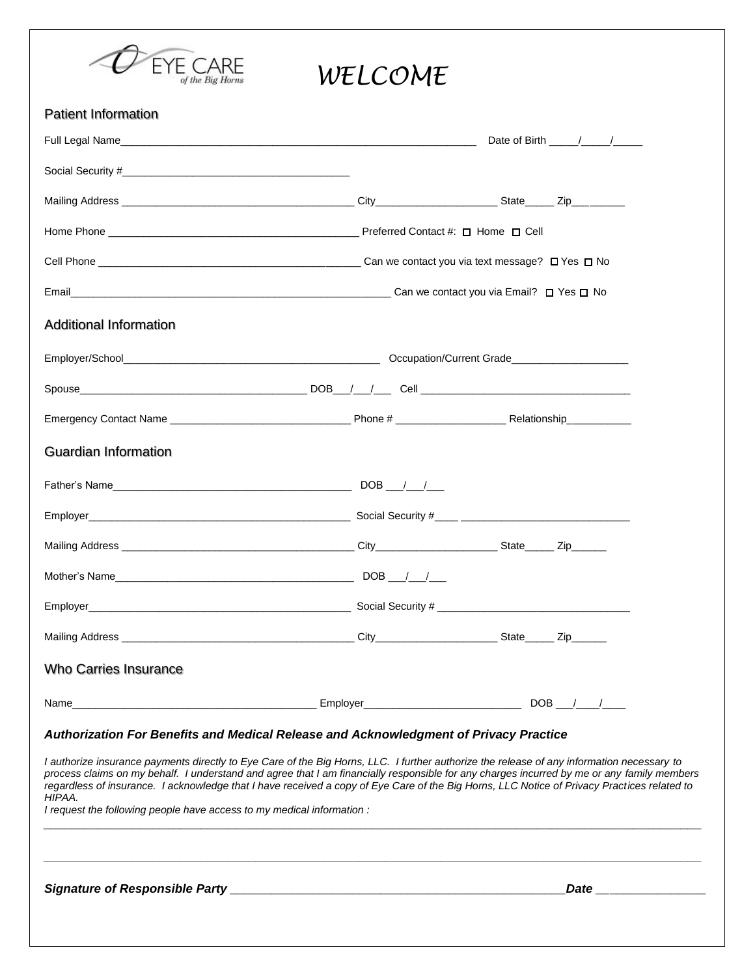

| <b>Patient Information</b>                                                                                                     |                                                                                                                                                                                                                                                                                                                                                                                                                                         |  |
|--------------------------------------------------------------------------------------------------------------------------------|-----------------------------------------------------------------------------------------------------------------------------------------------------------------------------------------------------------------------------------------------------------------------------------------------------------------------------------------------------------------------------------------------------------------------------------------|--|
|                                                                                                                                |                                                                                                                                                                                                                                                                                                                                                                                                                                         |  |
|                                                                                                                                |                                                                                                                                                                                                                                                                                                                                                                                                                                         |  |
|                                                                                                                                |                                                                                                                                                                                                                                                                                                                                                                                                                                         |  |
|                                                                                                                                |                                                                                                                                                                                                                                                                                                                                                                                                                                         |  |
|                                                                                                                                |                                                                                                                                                                                                                                                                                                                                                                                                                                         |  |
|                                                                                                                                |                                                                                                                                                                                                                                                                                                                                                                                                                                         |  |
| <b>Additional Information</b>                                                                                                  |                                                                                                                                                                                                                                                                                                                                                                                                                                         |  |
|                                                                                                                                |                                                                                                                                                                                                                                                                                                                                                                                                                                         |  |
|                                                                                                                                |                                                                                                                                                                                                                                                                                                                                                                                                                                         |  |
|                                                                                                                                |                                                                                                                                                                                                                                                                                                                                                                                                                                         |  |
| <b>Guardian Information</b>                                                                                                    |                                                                                                                                                                                                                                                                                                                                                                                                                                         |  |
|                                                                                                                                |                                                                                                                                                                                                                                                                                                                                                                                                                                         |  |
|                                                                                                                                |                                                                                                                                                                                                                                                                                                                                                                                                                                         |  |
|                                                                                                                                |                                                                                                                                                                                                                                                                                                                                                                                                                                         |  |
|                                                                                                                                |                                                                                                                                                                                                                                                                                                                                                                                                                                         |  |
|                                                                                                                                |                                                                                                                                                                                                                                                                                                                                                                                                                                         |  |
|                                                                                                                                |                                                                                                                                                                                                                                                                                                                                                                                                                                         |  |
| <b>Who Carries Insurance</b>                                                                                                   |                                                                                                                                                                                                                                                                                                                                                                                                                                         |  |
| <u> 1989 - Johann Harry Harry Harry Harry Harry Harry Harry Harry Harry Harry Harry Harry Harry Harry Harry Harry</u><br>Name_ | $DOB$ / /                                                                                                                                                                                                                                                                                                                                                                                                                               |  |
| Authorization For Benefits and Medical Release and Acknowledgment of Privacy Practice                                          |                                                                                                                                                                                                                                                                                                                                                                                                                                         |  |
| HIPAA.<br>I request the following people have access to my medical information :                                               | I authorize insurance payments directly to Eye Care of the Big Horns, LLC. I further authorize the release of any information necessary to<br>process claims on my behalf. I understand and agree that I am financially responsible for any charges incurred by me or any family members<br>regardless of insurance. I acknowledge that I have received a copy of Eye Care of the Big Horns, LLC Notice of Privacy Practices related to |  |
|                                                                                                                                | <b>Date <i>Date</i></b>                                                                                                                                                                                                                                                                                                                                                                                                                 |  |